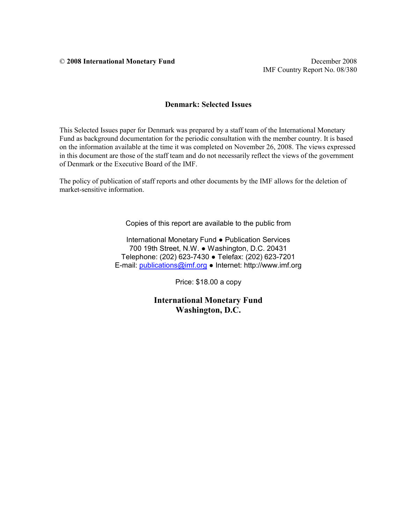© **2008 International Monetary Fund** December 2008

IMF Country Report No. 08/380

#### **Denmark: Selected Issues**

This Selected Issues paper for Denmark was prepared by a staff team of the International Monetary Fund as background documentation for the periodic consultation with the member country. It is based on the information available at the time it was completed on November 26, 2008. The views expressed in this document are those of the staff team and do not necessarily reflect the views of the government of Denmark or the Executive Board of the IMF.

The policy of publication of staff reports and other documents by the IMF allows for the deletion of market-sensitive information.

Copies of this report are available to the public from

International Monetary Fund ● Publication Services 700 19th Street, N.W. ● Washington, D.C. 20431 Telephone: (202) 623-7430 ● Telefax: (202) 623-7201 E-mail: [publications@imf.org](mailto:publications@imf.org) ● Internet: http://www.imf.org

Price: \$18.00 a copy

**International Monetary Fund Washington, D.C.**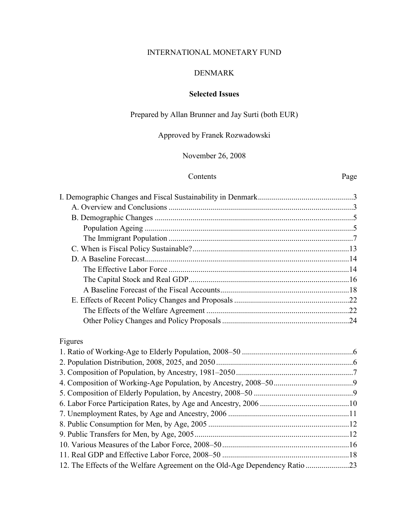### INTERNATIONAL MONETARY FUND

### DENMARK

### **Selected Issues**

Prepared by Allan Brunner and Jay Surti (both EUR)

Approved by Franek Rozwadowski

November 26, 2008

#### Contents Page

| Figures |  |
|---------|--|
|         |  |
|         |  |
|         |  |
|         |  |
|         |  |
|         |  |
|         |  |
|         |  |
|         |  |
|         |  |
|         |  |

12. The Effects of the Welfare Agreement on the Old-Age Dependency Ratio ......................23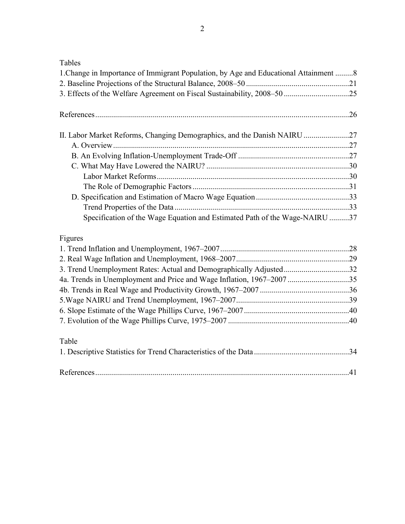Tables

| i avits<br>1. Change in Importance of Immigrant Population, by Age and Educational Attainment  8 |  |
|--------------------------------------------------------------------------------------------------|--|
|                                                                                                  |  |
|                                                                                                  |  |
|                                                                                                  |  |
|                                                                                                  |  |
|                                                                                                  |  |
| II. Labor Market Reforms, Changing Demographics, and the Danish NAIRU 27                         |  |
|                                                                                                  |  |
|                                                                                                  |  |
|                                                                                                  |  |
|                                                                                                  |  |
|                                                                                                  |  |
|                                                                                                  |  |
|                                                                                                  |  |
| Specification of the Wage Equation and Estimated Path of the Wage-NAIRU 37                       |  |
|                                                                                                  |  |
| Figures                                                                                          |  |
|                                                                                                  |  |
|                                                                                                  |  |
| 3. Trend Unemployment Rates: Actual and Demographically Adjusted32                               |  |
| 4a. Trends in Unemployment and Price and Wage Inflation, 1967-2007 35                            |  |
|                                                                                                  |  |
|                                                                                                  |  |
|                                                                                                  |  |
|                                                                                                  |  |
|                                                                                                  |  |
| Table                                                                                            |  |
|                                                                                                  |  |
|                                                                                                  |  |
|                                                                                                  |  |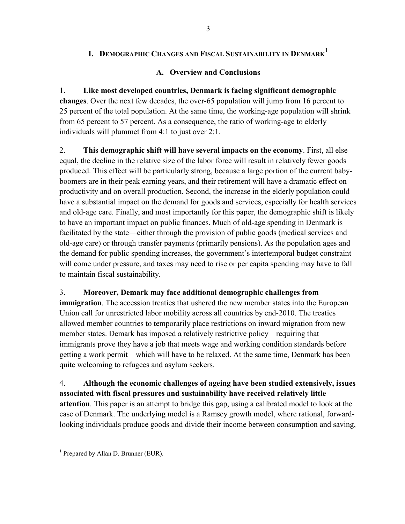## **I. DEMOGRAPHIC CHANGES AND FISCAL SUSTAINABILITY IN DENMARK [1](#page-4-0)**

### **A. Overview and Conclusions**

1. **Like most developed countries, Denmark is facing significant demographic changes**. Over the next few decades, the over-65 population will jump from 16 percent to 25 percent of the total population. At the same time, the working-age population will shrink from 65 percent to 57 percent. As a consequence, the ratio of working-age to elderly individuals will plummet from 4:1 to just over 2:1.

2. **This demographic shift will have several impacts on the economy**. First, all else equal, the decline in the relative size of the labor force will result in relatively fewer goods produced. This effect will be particularly strong, because a large portion of the current babyboomers are in their peak earning years, and their retirement will have a dramatic effect on productivity and on overall production. Second, the increase in the elderly population could have a substantial impact on the demand for goods and services, especially for health services and old-age care. Finally, and most importantly for this paper, the demographic shift is likely to have an important impact on public finances. Much of old-age spending in Denmark is facilitated by the state—either through the provision of public goods (medical services and old-age care) or through transfer payments (primarily pensions). As the population ages and the demand for public spending increases, the government's intertemporal budget constraint will come under pressure, and taxes may need to rise or per capita spending may have to fall to maintain fiscal sustainability.

### 3. **Moreover, Demark may face additional demographic challenges from**

**immigration**. The accession treaties that ushered the new member states into the European Union call for unrestricted labor mobility across all countries by end-2010. The treaties allowed member countries to temporarily place restrictions on inward migration from new member states. Demark has imposed a relatively restrictive policy—requiring that immigrants prove they have a job that meets wage and working condition standards before getting a work permit—which will have to be relaxed. At the same time, Denmark has been quite welcoming to refugees and asylum seekers.

4. **Although the economic challenges of ageing have been studied extensively, issues associated with fiscal pressures and sustainability have received relatively little attention**. This paper is an attempt to bridge this gap, using a calibrated model to look at the case of Denmark. The underlying model is a Ramsey growth model, where rational, forwardlooking individuals produce goods and divide their income between consumption and saving,

1

<span id="page-4-0"></span><sup>&</sup>lt;sup>1</sup> Prepared by Allan D. Brunner (EUR).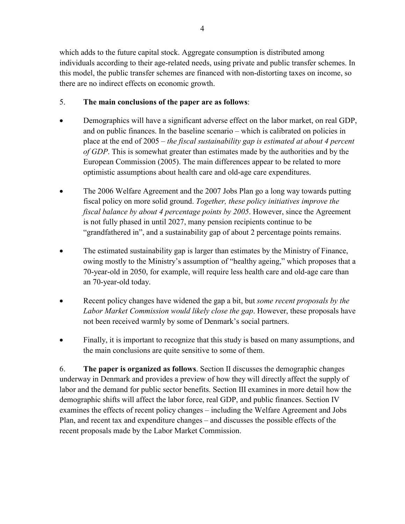which adds to the future capital stock. Aggregate consumption is distributed among individuals according to their age-related needs, using private and public transfer schemes. In this model, the public transfer schemes are financed with non-distorting taxes on income, so

### 5. **The main conclusions of the paper are as follows**:

there are no indirect effects on economic growth.

- Demographics will have a significant adverse effect on the labor market, on real GDP, and on public finances. In the baseline scenario – which is calibrated on policies in place at the end of 2005 – *the fiscal sustainability gap is estimated at about 4 percent of GDP*. This is somewhat greater than estimates made by the authorities and by the European Commission (2005). The main differences appear to be related to more optimistic assumptions about health care and old-age care expenditures.
- The 2006 Welfare Agreement and the 2007 Jobs Plan go a long way towards putting fiscal policy on more solid ground. *Together, these policy initiatives improve the fiscal balance by about 4 percentage points by 2005*. However, since the Agreement is not fully phased in until 2027, many pension recipients continue to be "grandfathered in", and a sustainability gap of about 2 percentage points remains.
- The estimated sustainability gap is larger than estimates by the Ministry of Finance, owing mostly to the Ministry's assumption of "healthy ageing," which proposes that a 70-year-old in 2050, for example, will require less health care and old-age care than an 70-year-old today.
- Recent policy changes have widened the gap a bit, but *some recent proposals by the Labor Market Commission would likely close the gap*. However, these proposals have not been received warmly by some of Denmark's social partners.
- Finally, it is important to recognize that this study is based on many assumptions, and the main conclusions are quite sensitive to some of them.

6. **The paper is organized as follows**. Section II discusses the demographic changes underway in Denmark and provides a preview of how they will directly affect the supply of labor and the demand for public sector benefits. Section III examines in more detail how the demographic shifts will affect the labor force, real GDP, and public finances. Section IV examines the effects of recent policy changes – including the Welfare Agreement and Jobs Plan, and recent tax and expenditure changes – and discusses the possible effects of the recent proposals made by the Labor Market Commission.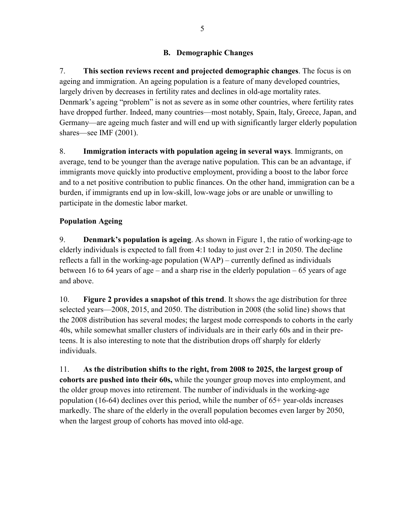### **B. Demographic Changes**

7. **This section reviews recent and projected demographic changes**. The focus is on ageing and immigration. An ageing population is a feature of many developed countries, largely driven by decreases in fertility rates and declines in old-age mortality rates. Denmark's ageing "problem" is not as severe as in some other countries, where fertility rates have dropped further. Indeed, many countries—most notably, Spain, Italy, Greece, Japan, and Germany—are ageing much faster and will end up with significantly larger elderly population shares—see IMF (2001).

8. **Immigration interacts with population ageing in several ways**. Immigrants, on average, tend to be younger than the average native population. This can be an advantage, if immigrants move quickly into productive employment, providing a boost to the labor force and to a net positive contribution to public finances. On the other hand, immigration can be a burden, if immigrants end up in low-skill, low-wage jobs or are unable or unwilling to participate in the domestic labor market.

### **Population Ageing**

9. **Denmark's population is ageing**. As shown in Figure 1, the ratio of working-age to elderly individuals is expected to fall from 4:1 today to just over 2:1 in 2050. The decline reflects a fall in the working-age population (WAP) – currently defined as individuals between 16 to 64 years of age – and a sharp rise in the elderly population – 65 years of age and above.

10. **Figure 2 provides a snapshot of this trend**. It shows the age distribution for three selected years—2008, 2015, and 2050. The distribution in 2008 (the solid line) shows that the 2008 distribution has several modes; the largest mode corresponds to cohorts in the early 40s, while somewhat smaller clusters of individuals are in their early 60s and in their preteens. It is also interesting to note that the distribution drops off sharply for elderly individuals.

11. **As the distribution shifts to the right, from 2008 to 2025, the largest group of cohorts are pushed into their 60s,** while the younger group moves into employment, and the older group moves into retirement. The number of individuals in the working-age population (16-64) declines over this period, while the number of 65+ year-olds increases markedly. The share of the elderly in the overall population becomes even larger by 2050, when the largest group of cohorts has moved into old-age.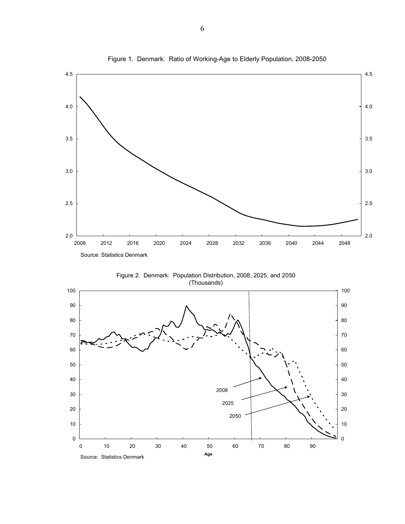

Figure 1. Denmark: Ratio of Working-Age to Elderly Population, 2008-2050

Figure 2. Denmark: Population Distribution, 2008, 2025, and 2050 (Thousands)

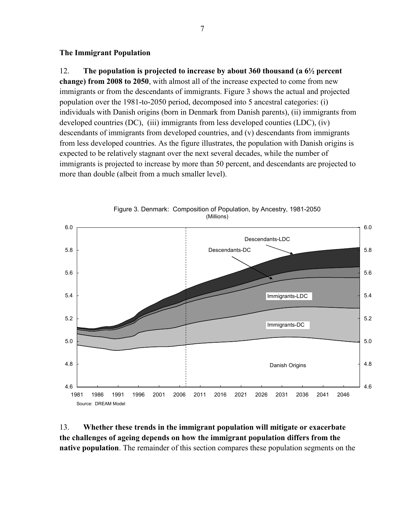#### **The Immigrant Population**

#### 12. **The population is projected to increase by about 360 thousand (a 6½ percent**

**change) from 2008 to 2050**, with almost all of the increase expected to come from new immigrants or from the descendants of immigrants. Figure 3 shows the actual and projected population over the 1981-to-2050 period, decomposed into 5 ancestral categories: (i) individuals with Danish origins (born in Denmark from Danish parents), (ii) immigrants from developed countries (DC), (iii) immigrants from less developed counties (LDC), (iv) descendants of immigrants from developed countries, and (v) descendants from immigrants from less developed countries. As the figure illustrates, the population with Danish origins is expected to be relatively stagnant over the next several decades, while the number of immigrants is projected to increase by more than 50 percent, and descendants are projected to more than double (albeit from a much smaller level).



Figure 3. Denmark: Composition of Population, by Ancestry, 1981-2050 (Millions)

13. **Whether these trends in the immigrant population will mitigate or exacerbate the challenges of ageing depends on how the immigrant population differs from the native population**. The remainder of this section compares these population segments on the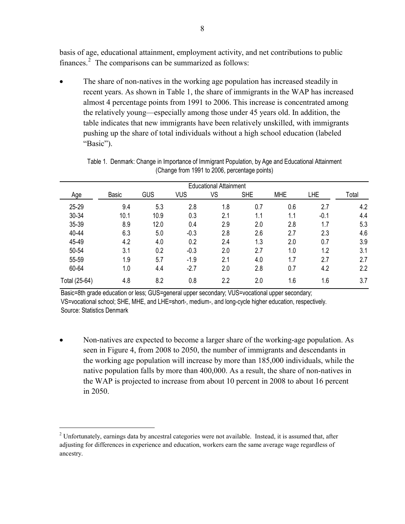basis of age, educational attainment, employment activity, and net contributions to public finances. $2$  The comparisons can be summarized as follows:

• The share of non-natives in the working age population has increased steadily in recent years. As shown in Table 1, the share of immigrants in the WAP has increased almost 4 percentage points from 1991 to 2006. This increase is concentrated among the relatively young—especially among those under 45 years old. In addition, the table indicates that new immigrants have been relatively unskilled, with immigrants pushing up the share of total individuals without a high school education (labeled "Basic").

|               |       |      |            | <b>Educational Attainment</b> |            |            |            |       |
|---------------|-------|------|------------|-------------------------------|------------|------------|------------|-------|
| Age           | Basic | GUS  | <b>VUS</b> | VS                            | <b>SHE</b> | <b>MHE</b> | <b>LHE</b> | Total |
| 25-29         | 9.4   | 5.3  | 2.8        | 1.8                           | 0.7        | 0.6        | 2.7        | 4.2   |
| 30-34         | 10.1  | 10.9 | 0.3        | 2.1                           | 1.1        | 1.1        | $-0.1$     | 4.4   |
| 35-39         | 8.9   | 12.0 | 0.4        | 2.9                           | 2.0        | 2.8        | 1.7        | 5.3   |
| 40-44         | 6.3   | 5.0  | $-0.3$     | 2.8                           | 2.6        | 2.7        | 2.3        | 4.6   |
| 45-49         | 4.2   | 4.0  | 0.2        | 2.4                           | 1.3        | 2.0        | 0.7        | 3.9   |
| 50-54         | 3.1   | 0.2  | $-0.3$     | 2.0                           | 2.7        | 1.0        | 1.2        | 3.1   |
| 55-59         | 1.9   | 5.7  | $-1.9$     | 2.1                           | 4.0        | 1.7        | 2.7        | 2.7   |
| 60-64         | 1.0   | 4.4  | $-2.7$     | 2.0                           | 2.8        | 0.7        | 4.2        | 2.2   |
| Total (25-64) | 4.8   | 8.2  | 0.8        | 2.2                           | 2.0        | 1.6        | 1.6        | 3.7   |

Table 1. Denmark: Change in Importance of Immigrant Population, by Age and Educational Attainment (Change from 1991 to 2006, percentage points)

Basic=8th grade education or less; GUS=general upper secondary; VUS=vocational upper secondary; VS=vocational school; SHE, MHE, and LHE=short-, medium-, and long-cycle higher education, respectively. Source: Statistics Denmark

• Non-natives are expected to become a larger share of the working-age population. As seen in Figure 4, from 2008 to 2050, the number of immigrants and descendants in the working age population will increase by more than 185,000 individuals, while the native population falls by more than 400,000. As a result, the share of non-natives in the WAP is projected to increase from about 10 percent in 2008 to about 16 percent in 2050.

1

 $2$  Unfortunately, earnings data by ancestral categories were not available. Instead, it is assumed that, after adjusting for differences in experience and education, workers earn the same average wage regardless of ancestry.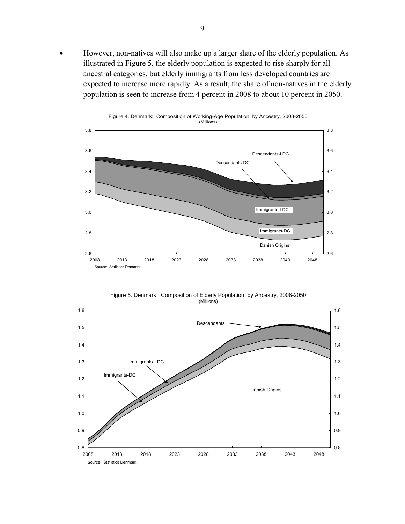• However, non-natives will also make up a larger share of the elderly population. As illustrated in Figure 5, the elderly population is expected to rise sharply for all ancestral categories, but elderly immigrants from less developed countries are expected to increase more rapidly. As a result, the share of non-natives in the elderly population is seen to increase from 4 percent in 2008 to about 10 percent in 2050.



Figure 5. Denmark: Composition of Elderly Population, by Ancestry, 2008-2050 (Millions)

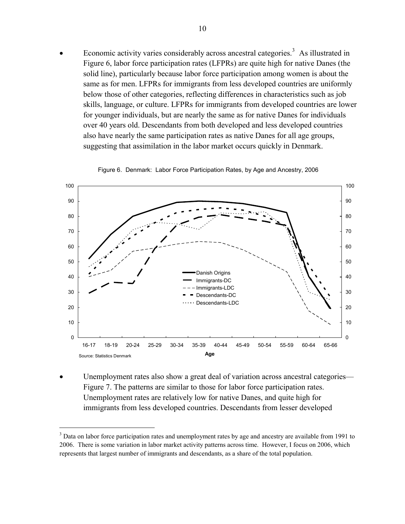• Economic activity varies considerably across ancestral categories.<sup>[3](#page-11-0)</sup> As illustrated in Figure 6, labor force participation rates (LFPRs) are quite high for native Danes (the solid line), particularly because labor force participation among women is about the same as for men. LFPRs for immigrants from less developed countries are uniformly below those of other categories, reflecting differences in characteristics such as job skills, language, or culture. LFPRs for immigrants from developed countries are lower for younger individuals, but are nearly the same as for native Danes for individuals over 40 years old. Descendants from both developed and less developed countries also have nearly the same participation rates as native Danes for all age groups, suggesting that assimilation in the labor market occurs quickly in Denmark.



Figure 6. Denmark: Labor Force Participation Rates, by Age and Ancestry, 2006

Unemployment rates also show a great deal of variation across ancestral categories— Figure 7. The patterns are similar to those for labor force participation rates. Unemployment rates are relatively low for native Danes, and quite high for immigrants from less developed countries. Descendants from lesser developed

1

<span id="page-11-0"></span> $3$  Data on labor force participation rates and unemployment rates by age and ancestry are available from 1991 to 2006. There is some variation in labor market activity patterns across time. However, I focus on 2006, which represents that largest number of immigrants and descendants, as a share of the total population.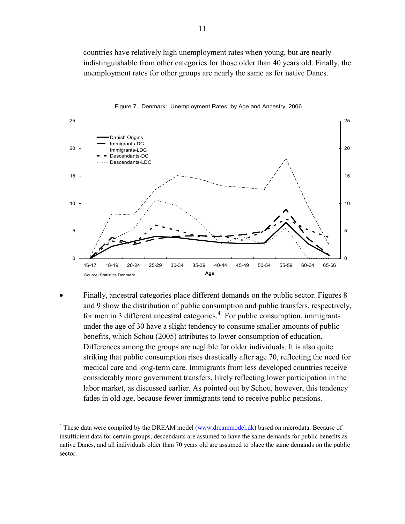countries have relatively high unemployment rates when young, but are nearly indistinguishable from other categories for those older than 40 years old. Finally, the unemployment rates for other groups are nearly the same as for native Danes.





• Finally, ancestral categories place different demands on the public sector. Figures 8 and 9 show the distribution of public consumption and public transfers, respectively, for men in 3 different ancestral categories. $4$  For public consumption, immigrants under the age of 30 have a slight tendency to consume smaller amounts of public benefits, which Schou (2005) attributes to lower consumption of education. Differences among the groups are neglible for older individuals. It is also quite striking that public consumption rises drastically after age 70, reflecting the need for medical care and long-term care. Immigrants from less developed countries receive considerably more government transfers, likely reflecting lower participation in the labor market, as discussed earlier. As pointed out by Schou, however, this tendency fades in old age, because fewer immigrants tend to receive public pensions.

1

<span id="page-12-0"></span><sup>&</sup>lt;sup>4</sup> These data were compiled by the DREAM model ([www.dreammodel.dk](http://www.dreammodel.dk/)) based on microdata. Because of insufficient data for certain groups, descendants are assumed to have the same demands for public benefits as native Danes, and all individuals older than 70 years old are assumed to place the same demands on the public sector.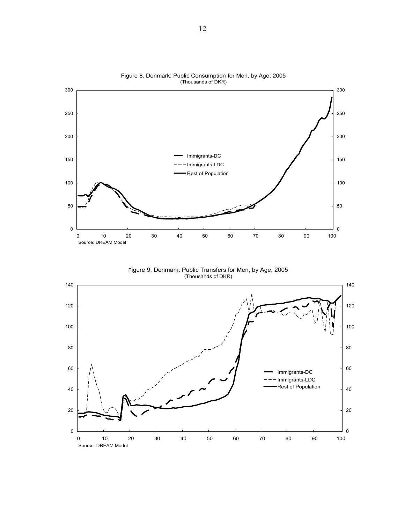

Figure 8. Denmark: Public Consumption for Men, by Age, 2005

Figure 9. Denmark: Public Transfers for Men, by Age, 2005 (Thousands of DKR)

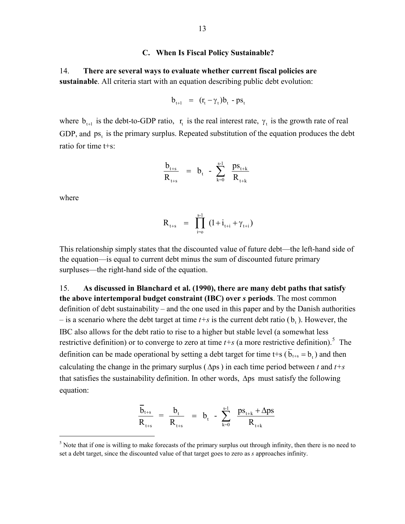#### **C. When Is Fiscal Policy Sustainable?**

14. **There are several ways to evaluate whether current fiscal policies are sustainable**. All criteria start with an equation describing public debt evolution:

$$
b_{t+1} = (r_t - \gamma_t)b_t - ps_t
$$

where  $b_{t+1}$  is the debt-to-GDP ratio,  $r_t$  is the real interest rate,  $\gamma_t$  is the growth rate of real GDP, and  $ps_t$  is the primary surplus. Repeated substitution of the equation produces the debt ratio for time t+s:

$$
\frac{b_{t+s}}{R_{t+s}} = b_t - \sum_{k=0}^{s-1} \frac{ps_{t+k}}{R_{t+k}}
$$

where

 $\overline{a}$ 

$$
R_{t+s} = \prod_{i=0}^{s-1} (1 + i_{t+i} + \gamma_{t+i})
$$

This relationship simply states that the discounted value of future debt—the left-hand side of the equation—is equal to current debt minus the sum of discounted future primary surpluses—the right-hand side of the equation.

15. **As discussed in Blanchard et al. (1990), there are many debt paths that satisfy the above intertemporal budget constraint (IBC) over** *s* **periods**. The most common definition of debt sustainability – and the one used in this paper and by the Danish authorities  $-$  is a scenario where the debt target at time  $t+s$  is the current debt ratio ( $b<sub>r</sub>$ ). However, the IBC also allows for the debt ratio to rise to a higher but stable level (a somewhat less restrictive definition) or to converge to zero at time  $t+s$  (a more restrictive definition).<sup>[5](#page-14-0)</sup> The definition can be made operational by setting a debt target for time t+s ( $\bar{b}_{t+s} = b$ ) and then calculating the change in the primary surplus ( $\Delta$ ps) in each time period between *t* and  $t+s$ that satisfies the sustainability definition. In other words, Δps must satisfy the following equation:

$$
\frac{\overline{b}_{t+s}}{R_{t+s}} = \frac{b_t}{R_{t+s}} = b_t - \sum_{k=0}^{s-1} \frac{ps_{t+k} + \Delta ps}{R_{t+k}}
$$

<span id="page-14-0"></span> $<sup>5</sup>$  Note that if one is willing to make forecasts of the primary surplus out through infinity, then there is no need to</sup> set a debt target, since the discounted value of that target goes to zero as *s* approaches infinity.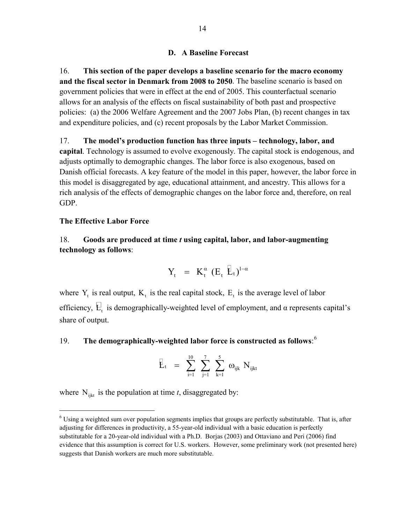#### **D. A Baseline Forecast**

16. **This section of the paper develops a baseline scenario for the macro economy and the fiscal sector in Denmark from 2008 to 2050**. The baseline scenario is based on government policies that were in effect at the end of 2005. This counterfactual scenario allows for an analysis of the effects on fiscal sustainability of both past and prospective policies: (a) the 2006 Welfare Agreement and the 2007 Jobs Plan, (b) recent changes in tax and expenditure policies, and (c) recent proposals by the Labor Market Commission.

17. **The model's production function has three inputs – technology, labor, and capital**. Technology is assumed to evolve exogenously. The capital stock is endogenous, and adjusts optimally to demographic changes. The labor force is also exogenous, based on Danish official forecasts. A key feature of the model in this paper, however, the labor force in this model is disaggregated by age, educational attainment, and ancestry. This allows for a rich analysis of the effects of demographic changes on the labor force and, therefore, on real GDP.

#### **The Effective Labor Force**

1

### 18. **Goods are produced at time** *t* **using capital, labor, and labor-augmenting technology as follows**:

$$
Y_t = K_t^{\alpha} (E_t \mathbf{L}_t)^{1-\alpha}
$$

where  $Y_t$  is real output,  $K_t$  is the real capital stock,  $E_t$  is the average level of labor efficiency,  $E_t$  is demographically-weighted level of employment, and  $\alpha$  represents capital's share of output.

### 19. **The demographically-weighted labor force is constructed as follows**: [6](#page-15-0)

$$
E_t \ \ = \ \, \sum_{i=1}^{10} \ \, \sum_{j=1}^{7} \ \, \sum_{k=1}^{5} \,\, \omega_{ijk} \,\, N_{ijkt}
$$

where  $N_{\text{int}}$  is the population at time *t*, disaggregated by:

<span id="page-15-0"></span> $6$  Using a weighted sum over population segments implies that groups are perfectly substitutable. That is, after adjusting for differences in productivity, a 55-year-old individual with a basic education is perfectly substitutable for a 20-year-old individual with a Ph.D. Borjas (2003) and Ottaviano and Peri (2006) find evidence that this assumption is correct for U.S. workers. However, some preliminary work (not presented here) suggests that Danish workers are much more substitutable.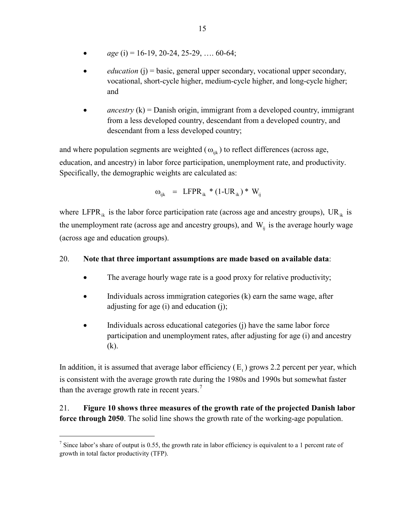- *age* (i) = 16-19, 20-24, 25-29, …. 60-64;
- *education* (j) = basic, general upper secondary, vocational upper secondary, vocational, short-cycle higher, medium-cycle higher, and long-cycle higher; and
- $\alpha$ *ancestry* (k) = Danish origin, immigrant from a developed country, immigrant from a less developed country, descendant from a developed country, and descendant from a less developed country;

and where population segments are weighted ( $\omega_{ijk}$ ) to reflect differences (across age, education, and ancestry) in labor force participation, unemployment rate, and productivity. Specifically, the demographic weights are calculated as:

$$
\omega_{ijk} = LFPR_{ik} * (1-UR_{ik}) * W_{ij}
$$

where LFPR<sub>ik</sub> is the labor force participation rate (across age and ancestry groups), UR<sub>ik</sub> is the unemployment rate (across age and ancestry groups), and  $W_{ij}$  is the average hourly wage (across age and education groups).

### 20. **Note that three important assumptions are made based on available data**:

- The average hourly wage rate is a good proxy for relative productivity;
- Individuals across immigration categories (k) earn the same wage, after adjusting for age (i) and education (j);
- Individuals across educational categories (j) have the same labor force participation and unemployment rates, after adjusting for age (i) and ancestry (k).

In addition, it is assumed that average labor efficiency  $(E_t)$  grows 2.2 percent per year, which is consistent with the average growth rate during the 1980s and 1990s but somewhat faster than the average growth rate in recent years.<sup>[7](#page-16-0)</sup>

### 21. **Figure 10 shows three measures of the growth rate of the projected Danish labor force through 2050**. The solid line shows the growth rate of the working-age population.

 $\overline{a}$ 

<span id="page-16-0"></span><sup>&</sup>lt;sup>7</sup> Since labor's share of output is 0.55, the growth rate in labor efficiency is equivalent to a 1 percent rate of growth in total factor productivity (TFP).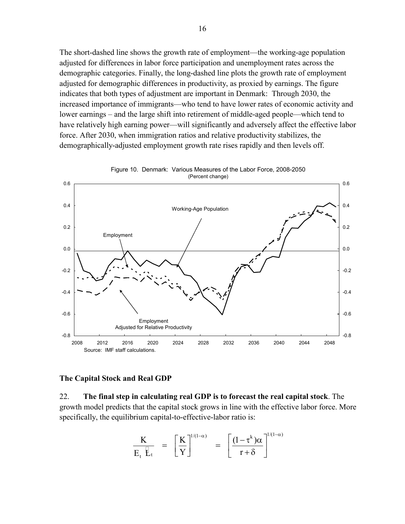The short-dashed line shows the growth rate of employment—the working-age population adjusted for differences in labor force participation and unemployment rates across the demographic categories. Finally, the long-dashed line plots the growth rate of employment adjusted for demographic differences in productivity, as proxied by earnings. The figure indicates that both types of adjustment are important in Denmark: Through 2030, the increased importance of immigrants—who tend to have lower rates of economic activity and lower earnings – and the large shift into retirement of middle-aged people—which tend to have relatively high earning power—will significantly and adversely affect the effective labor force. After 2030, when immigration ratios and relative productivity stabilizes, the demographically-adjusted employment growth rate rises rapidly and then levels off.



# Figure 10. Denmark: Various Measures of the Labor Force, 2008-2050

#### **The Capital Stock and Real GDP**

22. **The final step in calculating real GDP is to forecast the real capital stock**. The growth model predicts that the capital stock grows in line with the effective labor force. More specifically, the equilibrium capital-to-effective-labor ratio is:

$$
\frac{K}{E_t \tE_t} = \left[\frac{K}{Y}\right]^{1/(1-\alpha)} = \left[\frac{(1-\tau^k)\alpha}{r+\delta}\right]^{1/(1-\alpha)}
$$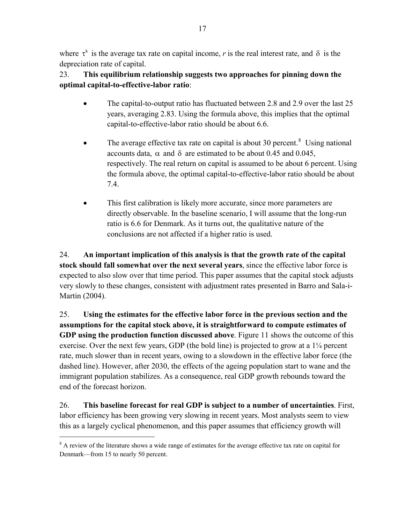where  $\tau^k$  is the average tax rate on capital income, *r* is the real interest rate, and  $\delta$  is the depreciation rate of capital.

23. **This equilibrium relationship suggests two approaches for pinning down the optimal capital-to-effective-labor ratio**:

- The capital-to-output ratio has fluctuated between 2.8 and 2.9 over the last 25 years, averaging 2.83. Using the formula above, this implies that the optimal capital-to-effective-labor ratio should be about 6.6.
- The average effective tax rate on capital is about 30 percent.<sup>[8](#page-18-0)</sup> Using national accounts data,  $\alpha$  and  $\delta$  are estimated to be about 0.45 and 0.045, respectively. The real return on capital is assumed to be about 6 percent. Using the formula above, the optimal capital-to-effective-labor ratio should be about 7.4.
- This first calibration is likely more accurate, since more parameters are directly observable. In the baseline scenario, I will assume that the long-run ratio is 6.6 for Denmark. As it turns out, the qualitative nature of the conclusions are not affected if a higher ratio is used.

24. **An important implication of this analysis is that the growth rate of the capital stock should fall somewhat over the next several years**, since the effective labor force is expected to also slow over that time period. This paper assumes that the capital stock adjusts very slowly to these changes, consistent with adjustment rates presented in Barro and Sala-i-Martin (2004).

25. **Using the estimates for the effective labor force in the previous section and the assumptions for the capital stock above, it is straightforward to compute estimates of GDP using the production function discussed above**. Figure 11 shows the outcome of this exercise. Over the next few years, GDP (the bold line) is projected to grow at a 1¼ percent rate, much slower than in recent years, owing to a slowdown in the effective labor force (the dashed line). However, after 2030, the effects of the ageing population start to wane and the immigrant population stabilizes. As a consequence, real GDP growth rebounds toward the end of the forecast horizon.

26. **This baseline forecast for real GDP is subject to a number of uncertainties**. First, labor efficiency has been growing very slowing in recent years. Most analysts seem to view this as a largely cyclical phenomenon, and this paper assumes that efficiency growth will

 $\overline{a}$ 

<span id="page-18-0"></span><sup>&</sup>lt;sup>8</sup> A review of the literature shows a wide range of estimates for the average effective tax rate on capital for Denmark—from 15 to nearly 50 percent.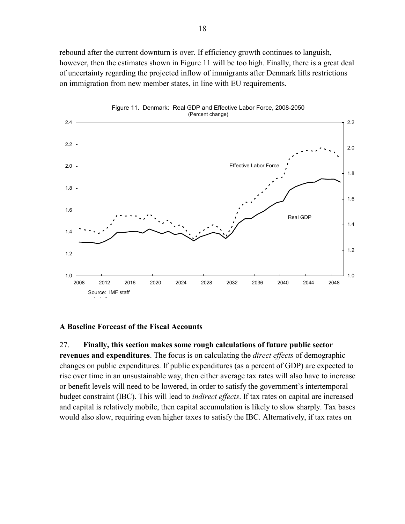rebound after the current downturn is over. If efficiency growth continues to languish, however, then the estimates shown in Figure 11 will be too high. Finally, there is a great deal of uncertainty regarding the projected inflow of immigrants after Denmark lifts restrictions on immigration from new member states, in line with EU requirements.



Figure 11. Denmark: Real GDP and Effective Labor Force, 2008-2050

#### **A Baseline Forecast of the Fiscal Accounts**

27. **Finally, this section makes some rough calculations of future public sector revenues and expenditures**. The focus is on calculating the *direct effects* of demographic changes on public expenditures. If public expenditures (as a percent of GDP) are expected to rise over time in an unsustainable way, then either average tax rates will also have to increase or benefit levels will need to be lowered, in order to satisfy the government's intertemporal budget constraint (IBC). This will lead to *indirect effects*. If tax rates on capital are increased and capital is relatively mobile, then capital accumulation is likely to slow sharply. Tax bases would also slow, requiring even higher taxes to satisfy the IBC. Alternatively, if tax rates on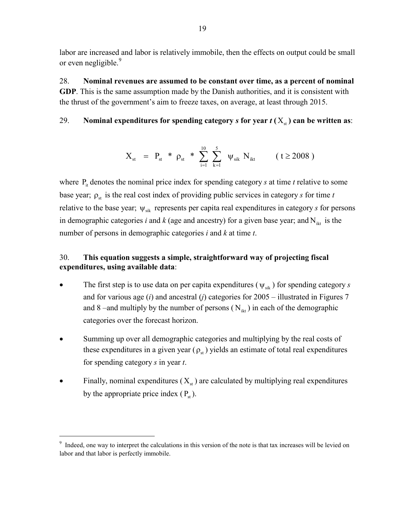labor are increased and labor is relatively immobile, then the effects on output could be small or even negligible.<sup>9</sup>

28. **Nominal revenues are assumed to be constant over time, as a percent of nominal GDP**. This is the same assumption made by the Danish authorities, and it is consistent with the thrust of the government's aim to freeze taxes, on average, at least through 2015.

### 29. **Nominal expenditures for spending category** *s* **for year**  $t(X_{st})$  **can be written as:**

$$
X_{_{st}} \ = \ P_{_{st}} \ * \ \rho_{_{st}} \ * \ \sum_{_{i=1}}^{_{10}} \ \sum_{_{k=1}}^{^{5}} \ \psi_{_{sik}} \ N_{_{ikt}} \qquad \ \ (\ t \geq 2008 \ )
$$

where  $P_{it}$  denotes the nominal price index for spending category *s* at time *t* relative to some base year;  $\rho_{st}$  is the real cost index of providing public services in category *s* for time *t* relative to the base year;  $\psi_{sik}$  represents per capita real expenditures in category *s* for persons in demographic categories *i* and *k* (age and ancestry) for a given base year; and  $N_{ikt}$  is the number of persons in demographic categories *i* and *k* at time *t*.

### 30. **This equation suggests a simple, straightforward way of projecting fiscal expenditures, using available data**:

- The first step is to use data on per capita expenditures ( $\psi_{sik}$ ) for spending category *s* and for various age (*i*) and ancestral (*j*) categories for 2005 – illustrated in Figures 7 and 8 –and multiply by the number of persons  $(N_{ik})$  in each of the demographic categories over the forecast horizon.
- Summing up over all demographic categories and multiplying by the real costs of these expenditures in a given year  $(\rho_{st})$  yields an estimate of total real expenditures for spending category *s* in year *t*.
- Finally, nominal expenditures  $(X_{st})$  are calculated by multiplying real expenditures by the appropriate price index  $(P_{st})$ .

 $\overline{a}$ 

<sup>&</sup>lt;sup>9</sup> Indeed, one way to interpret the calculations in this version of the note is that tax increases will be levied on labor and that labor is perfectly immobile.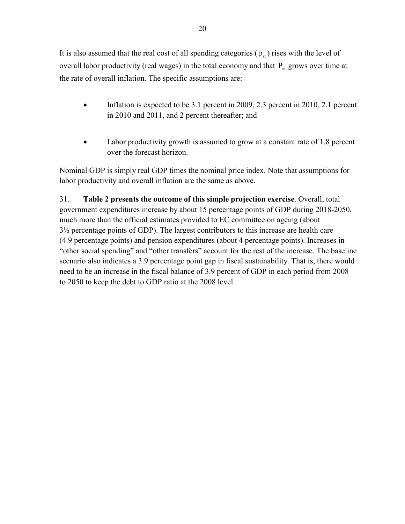It is also assumed that the real cost of all spending categories  $(\rho_{st})$  rises with the level of overall labor productivity (real wages) in the total economy and that  $P_{st}$  grows over time at the rate of overall inflation. The specific assumptions are:

- Inflation is expected to be 3.1 percent in 2009, 2.3 percent in 2010, 2.1 percent in 2010 and 2011, and 2 percent thereafter; and
- Labor productivity growth is assumed to grow at a constant rate of 1.8 percent over the forecast horizon.

Nominal GDP is simply real GDP times the nominal price index. Note that assumptions for labor productivity and overall inflation are the same as above.

31. **Table 2 presents the outcome of this simple projection exercise**. Overall, total government expenditures increase by about 15 percentage points of GDP during 2018-2050, much more than the official estimates provided to EC committee on ageing (about 3½ percentage points of GDP). The largest contributors to this increase are health care (4.9 percentage points) and pension expenditures (about 4 percentage points). Increases in "other social spending" and "other transfers" account for the rest of the increase. The baseline scenario also indicates a 3.9 percentage point gap in fiscal sustainability. That is, there would need to be an increase in the fiscal balance of 3.9 percent of GDP in each period from 2008 to 2050 to keep the debt to GDP ratio at the 2008 level.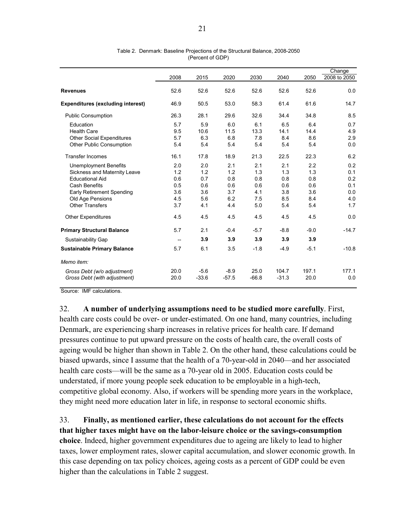|                                          |                                     |         |         |         |         |        | Change       |
|------------------------------------------|-------------------------------------|---------|---------|---------|---------|--------|--------------|
|                                          | 2008                                | 2015    | 2020    | 2030    | 2040    | 2050   | 2008 to 2050 |
| <b>Revenues</b>                          | 52.6                                | 52.6    | 52.6    | 52.6    | 52.6    | 52.6   | 0.0          |
| <b>Expenditures (excluding interest)</b> | 46.9                                | 50.5    | 53.0    | 58.3    | 61.4    | 61.6   | 14.7         |
| <b>Public Consumption</b>                | 26.3                                | 28.1    | 29.6    | 32.6    | 34.4    | 34.8   | 8.5          |
| Education                                | 5.7                                 | 5.9     | 6.0     | 6.1     | 6.5     | 6.4    | 0.7          |
| <b>Health Care</b>                       | 9.5                                 | 10.6    | 11.5    | 13.3    | 14.1    | 14.4   | 4.9          |
| <b>Other Social Expenditures</b>         | 5.7                                 | 6.3     | 6.8     | 7.8     | 8.4     | 8.6    | 2.9          |
| <b>Other Public Consumption</b>          | 5.4                                 | 5.4     | 5.4     | 5.4     | 5.4     | 5.4    | 0.0          |
| <b>Transfer Incomes</b>                  | 16.1                                | 17.8    | 18.9    | 21.3    | 22.5    | 22.3   | 6.2          |
| Unemployment Benefits                    | 2.0                                 | 2.0     | 2.1     | 2.1     | 2.1     | 2.2    | 0.2          |
| Sickness and Maternity Leave             | 1.2                                 | 1.2     | 1.2     | 1.3     | 1.3     | 1.3    | 0.1          |
| <b>Educational Aid</b>                   | 0.6                                 | 0.7     | 0.8     | 0.8     | 0.8     | 0.8    | 0.2          |
| <b>Cash Benefits</b>                     | 0.5                                 | 0.6     | 0.6     | 0.6     | 0.6     | 0.6    | 0.1          |
| <b>Early Retirement Spending</b>         | 3.6                                 | 3.6     | 3.7     | 4.1     | 3.8     | 3.6    | 0.0          |
| Old Age Pensions                         | 4.5                                 | 5.6     | 6.2     | 7.5     | 8.5     | 8.4    | 4.0          |
| <b>Other Transfers</b>                   | 3.7                                 | 4.1     | 4.4     | 5.0     | 5.4     | 5.4    | 1.7          |
| <b>Other Expenditures</b>                | 4.5                                 | 4.5     | 4.5     | 4.5     | 4.5     | 4.5    | 0.0          |
| <b>Primary Structural Balance</b>        | 5.7                                 | 2.1     | $-0.4$  | $-5.7$  | $-8.8$  | $-9.0$ | $-14.7$      |
| Sustainability Gap                       | $\hspace{0.05cm}$ $\hspace{0.05cm}$ | 3.9     | 3.9     | 3.9     | 3.9     | 3.9    |              |
| <b>Sustainable Primary Balance</b>       | 5.7                                 | 6.1     | 3.5     | $-1.8$  | $-4.9$  | $-5.1$ | $-10.8$      |
| Memo item:                               |                                     |         |         |         |         |        |              |
| Gross Debt (w/o adjustment)              | 20.0                                | $-5.6$  | $-8.9$  | 25.0    | 104.7   | 197.1  | 177.1        |
| Gross Debt (with adjustment)             | 20.0                                | $-33.6$ | $-57.5$ | $-66.8$ | $-31.3$ | 20.0   | 0.0          |

Table 2. Denmark: Baseline Projections of the Structural Balance, 2008-2050 (Percent of GDP)

Source: IMF calculations.

32. **A number of underlying assumptions need to be studied more carefully**. First, health care costs could be over- or under-estimated. On one hand, many countries, including Denmark, are experiencing sharp increases in relative prices for health care. If demand pressures continue to put upward pressure on the costs of health care, the overall costs of ageing would be higher than shown in Table 2. On the other hand, these calculations could be biased upwards, since I assume that the health of a 70-year-old in 2040—and her associated health care costs—will be the same as a 70-year old in 2005. Education costs could be understated, if more young people seek education to be employable in a high-tech, competitive global economy. Also, if workers will be spending more years in the workplace, they might need more education later in life, in response to sectoral economic shifts.

33. **Finally, as mentioned earlier, these calculations do not account for the effects that higher taxes might have on the labor-leisure choice or the savings-consumption choice**. Indeed, higher government expenditures due to ageing are likely to lead to higher taxes, lower employment rates, slower capital accumulation, and slower economic growth. In this case depending on tax policy choices, ageing costs as a percent of GDP could be even higher than the calculations in Table 2 suggest.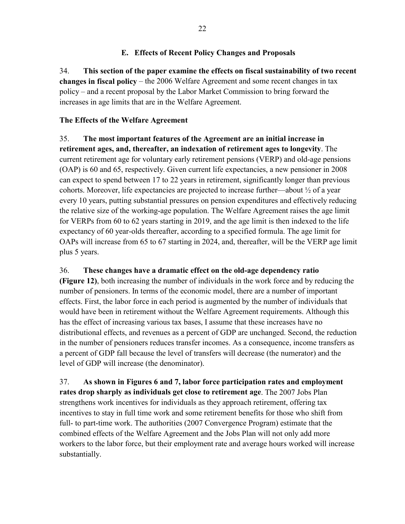### **E. Effects of Recent Policy Changes and Proposals**

34. **This section of the paper examine the effects on fiscal sustainability of two recent changes in fiscal policy** – the 2006 Welfare Agreement and some recent changes in tax policy – and a recent proposal by the Labor Market Commission to bring forward the increases in age limits that are in the Welfare Agreement.

### **The Effects of the Welfare Agreement**

35. **The most important features of the Agreement are an initial increase in retirement ages, and, thereafter, an indexation of retirement ages to longevity**. The current retirement age for voluntary early retirement pensions (VERP) and old-age pensions (OAP) is 60 and 65, respectively. Given current life expectancies, a new pensioner in 2008 can expect to spend between 17 to 22 years in retirement, significantly longer than previous cohorts. Moreover, life expectancies are projected to increase further—about  $\frac{1}{2}$  of a year every 10 years, putting substantial pressures on pension expenditures and effectively reducing the relative size of the working-age population. The Welfare Agreement raises the age limit for VERPs from 60 to 62 years starting in 2019, and the age limit is then indexed to the life expectancy of 60 year-olds thereafter, according to a specified formula. The age limit for OAPs will increase from 65 to 67 starting in 2024, and, thereafter, will be the VERP age limit plus 5 years.

### 36. **These changes have a dramatic effect on the old-age dependency ratio**

**(Figure 12)**, both increasing the number of individuals in the work force and by reducing the number of pensioners. In terms of the economic model, there are a number of important effects. First, the labor force in each period is augmented by the number of individuals that would have been in retirement without the Welfare Agreement requirements. Although this has the effect of increasing various tax bases, I assume that these increases have no distributional effects, and revenues as a percent of GDP are unchanged. Second, the reduction in the number of pensioners reduces transfer incomes. As a consequence, income transfers as a percent of GDP fall because the level of transfers will decrease (the numerator) and the level of GDP will increase (the denominator).

37. **As shown in Figures 6 and 7, labor force participation rates and employment rates drop sharply as individuals get close to retirement age**. The 2007 Jobs Plan strengthens work incentives for individuals as they approach retirement, offering tax incentives to stay in full time work and some retirement benefits for those who shift from full- to part-time work. The authorities (2007 Convergence Program) estimate that the combined effects of the Welfare Agreement and the Jobs Plan will not only add more workers to the labor force, but their employment rate and average hours worked will increase substantially.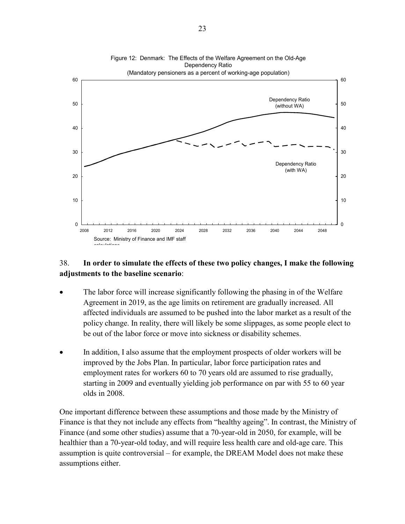

### 38. **In order to simulate the effects of these two policy changes, I make the following adjustments to the baseline scenario**:

- The labor force will increase significantly following the phasing in of the Welfare Agreement in 2019, as the age limits on retirement are gradually increased. All affected individuals are assumed to be pushed into the labor market as a result of the policy change. In reality, there will likely be some slippages, as some people elect to be out of the labor force or move into sickness or disability schemes.
- In addition, I also assume that the employment prospects of older workers will be improved by the Jobs Plan. In particular, labor force participation rates and employment rates for workers 60 to 70 years old are assumed to rise gradually, starting in 2009 and eventually yielding job performance on par with 55 to 60 year olds in 2008.

One important difference between these assumptions and those made by the Ministry of Finance is that they not include any effects from "healthy ageing". In contrast, the Ministry of Finance (and some other studies) assume that a 70-year-old in 2050, for example, will be healthier than a 70-year-old today, and will require less health care and old-age care. This assumption is quite controversial – for example, the DREAM Model does not make these assumptions either.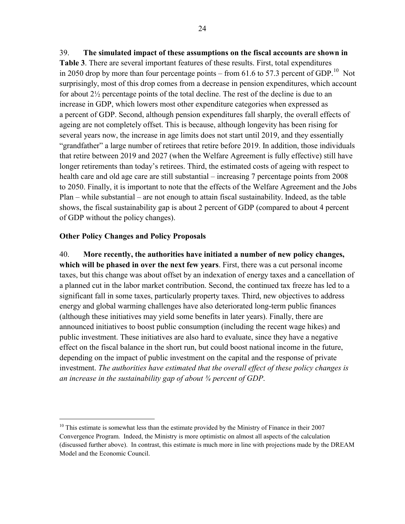39. **The simulated impact of these assumptions on the fiscal accounts are shown in Table 3**. There are several important features of these results. First, total expenditures in 2050 drop by more than four percentage points – from 61.6 to 57.3 percent of GDP.<sup>[10](#page-25-0)</sup> Not surprisingly, most of this drop comes from a decrease in pension expenditures, which account for about 2½ percentage points of the total decline. The rest of the decline is due to an increase in GDP, which lowers most other expenditure categories when expressed as a percent of GDP. Second, although pension expenditures fall sharply, the overall effects of ageing are not completely offset. This is because, although longevity has been rising for several years now, the increase in age limits does not start until 2019, and they essentially "grandfather" a large number of retirees that retire before 2019. In addition, those individuals that retire between 2019 and 2027 (when the Welfare Agreement is fully effective) still have longer retirements than today's retirees. Third, the estimated costs of ageing with respect to health care and old age care are still substantial – increasing 7 percentage points from 2008 to 2050. Finally, it is important to note that the effects of the Welfare Agreement and the Jobs Plan – while substantial – are not enough to attain fiscal sustainability. Indeed, as the table shows, the fiscal sustainability gap is about 2 percent of GDP (compared to about 4 percent of GDP without the policy changes).

### **Other Policy Changes and Policy Proposals**

1

40. **More recently, the authorities have initiated a number of new policy changes, which will be phased in over the next few years**. First, there was a cut personal income taxes, but this change was about offset by an indexation of energy taxes and a cancellation of a planned cut in the labor market contribution. Second, the continued tax freeze has led to a significant fall in some taxes, particularly property taxes. Third, new objectives to address energy and global warming challenges have also deteriorated long-term public finances (although these initiatives may yield some benefits in later years). Finally, there are announced initiatives to boost public consumption (including the recent wage hikes) and public investment. These initiatives are also hard to evaluate, since they have a negative effect on the fiscal balance in the short run, but could boost national income in the future, depending on the impact of public investment on the capital and the response of private investment. *The authorities have estimated that the overall effect of these policy changes is an increase in the sustainability gap of about ¾ percent of GDP*.

<span id="page-25-0"></span><sup>&</sup>lt;sup>10</sup> This estimate is somewhat less than the estimate provided by the Ministry of Finance in their 2007 Convergence Program. Indeed, the Ministry is more optimistic on almost all aspects of the calculation (discussed further above). In contrast, this estimate is much more in line with projections made by the DREAM Model and the Economic Council.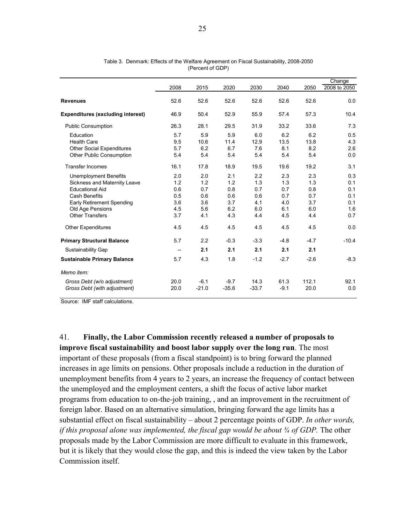|                                          |                          |         |         |         |        |        | Change       |
|------------------------------------------|--------------------------|---------|---------|---------|--------|--------|--------------|
|                                          | 2008                     | 2015    | 2020    | 2030    | 2040   | 2050   | 2008 to 2050 |
| <b>Revenues</b>                          | 52.6                     | 52.6    | 52.6    | 52.6    | 52.6   | 52.6   | 0.0          |
| <b>Expenditures (excluding interest)</b> | 46.9                     | 50.4    | 52.9    | 55.9    | 57.4   | 57.3   | 10.4         |
| <b>Public Consumption</b>                | 26.3                     | 28.1    | 29.5    | 31.9    | 33.2   | 33.6   | 7.3          |
| Education                                | 5.7                      | 5.9     | 5.9     | 6.0     | 6.2    | 6.2    | 0.5          |
| <b>Health Care</b>                       | 9.5                      | 10.6    | 11.4    | 12.9    | 13.5   | 13.8   | 4.3          |
| <b>Other Social Expenditures</b>         | 5.7                      | 6.2     | 6.7     | 7.6     | 8.1    | 8.2    | 2.6          |
| <b>Other Public Consumption</b>          | 5.4                      | 5.4     | 5.4     | 5.4     | 5.4    | 5.4    | 0.0          |
| <b>Transfer Incomes</b>                  | 16.1                     | 17.8    | 18.9    | 19.5    | 19.6   | 19.2   | 3.1          |
| <b>Unemployment Benefits</b>             | 2.0                      | 2.0     | 2.1     | 2.2     | 2.3    | 2.3    | 0.3          |
| Sickness and Maternity Leave             | 1.2                      | 1.2     | 1.2     | 1.3     | 1.3    | 1.3    | 0.1          |
| <b>Educational Aid</b>                   | 0.6                      | 0.7     | 0.8     | 0.7     | 0.7    | 0.8    | 0.1          |
| <b>Cash Benefits</b>                     | 0.5                      | 0.6     | 0.6     | 0.6     | 0.7    | 0.7    | 0.1          |
| <b>Early Retirement Spending</b>         | 3.6                      | 3.6     | 3.7     | 4.1     | 4.0    | 3.7    | 0.1          |
| Old Age Pensions                         | 4.5                      | 5.6     | 6.2     | 6.0     | 6.1    | 6.0    | 1.6          |
| <b>Other Transfers</b>                   | 3.7                      | 4.1     | 4.3     | 4.4     | 4.5    | 4.4    | 0.7          |
| <b>Other Expenditures</b>                | 4.5                      | 4.5     | 4.5     | 4.5     | 4.5    | 4.5    | 0.0          |
| <b>Primary Structural Balance</b>        | 5.7                      | 2.2     | $-0.3$  | $-3.3$  | $-4.8$ | $-4.7$ | $-10.4$      |
| Sustainability Gap                       | $\overline{\phantom{a}}$ | 2.1     | 2.1     | 2.1     | 2.1    | 2.1    |              |
| <b>Sustainable Primary Balance</b>       | 5.7                      | 4.3     | 1.8     | $-1.2$  | $-2.7$ | $-2.6$ | $-8.3$       |
| Memo item:                               |                          |         |         |         |        |        |              |
| Gross Debt (w/o adjustment)              | 20.0                     | $-6.1$  | $-9.7$  | 14.3    | 61.3   | 112.1  | 92.1         |
| Gross Debt (with adjustment)             | 20.0                     | $-21.0$ | $-35.6$ | $-33.7$ | $-9.1$ | 20.0   | 0.0          |

Table 3. Denmark: Effects of the Welfare Agreement on Fiscal Sustainability, 2008-2050 (Percent of GDP)

Source: IMF staff calculations.

41. **Finally, the Labor Commission recently released a number of proposals to improve fiscal sustainability and boost labor supply over the long run**. The most important of these proposals (from a fiscal standpoint) is to bring forward the planned increases in age limits on pensions. Other proposals include a reduction in the duration of unemployment benefits from 4 years to 2 years, an increase the frequency of contact between the unemployed and the employment centers, a shift the focus of active labor market programs from education to on-the-job training, , and an improvement in the recruitment of foreign labor. Based on an alternative simulation, bringing forward the age limits has a substantial effect on fiscal sustainability – about 2 percentage points of GDP. *In other words, if this proposal alone was implemented, the fiscal gap would be about <sup>3</sup>/4 of GDP. The other* proposals made by the Labor Commission are more difficult to evaluate in this framework, but it is likely that they would close the gap, and this is indeed the view taken by the Labor Commission itself.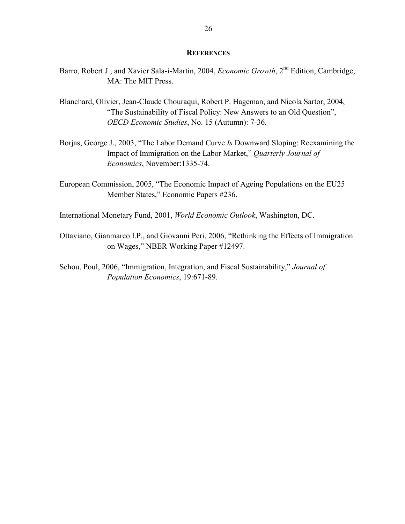#### **REFERENCES**

- Barro, Robert J., and Xavier Sala-i-Martin, 2004, *Economic Growth*, 2nd Edition, Cambridge, MA: The MIT Press.
- Blanchard, Olivier, Jean-Claude Chouraqui, Robert P. Hageman, and Nicola Sartor, 2004, "The Sustainability of Fiscal Policy: New Answers to an Old Question", *OECD Economic Studies*, No. 15 (Autumn): 7-36.
- Borjas, George J., 2003, "The Labor Demand Curve *Is* Downward Sloping: Reexamining the Impact of Immigration on the Labor Market," *Quarterly Journal of Economics*, November:1335-74.
- European Commission, 2005, "The Economic Impact of Ageing Populations on the EU25 Member States," Economic Papers #236.
- International Monetary Fund, 2001, *World Economic Outlook*, Washington, DC.
- Ottaviano, Gianmarco I.P., and Giovanni Peri, 2006, "Rethinking the Effects of Immigration on Wages," NBER Working Paper #12497.
- Schou, Poul, 2006, "Immigration, Integration, and Fiscal Sustainability," *Journal of Population Economics*, 19:671-89.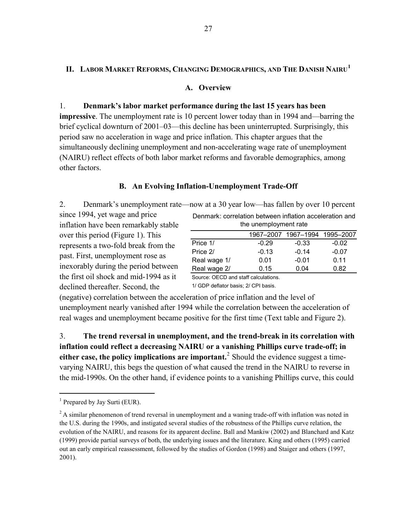### **II. LABOR MARKET REFORMS, CHANGING DEMOGRAPHICS, AND THE DANISH NAIRU[1](#page-28-0)**

#### **A. Overview**

1. **Denmark's labor market performance during the last 15 years has been impressive**. The unemployment rate is 10 percent lower today than in 1994 and—barring the brief cyclical downturn of 2001–03—this decline has been uninterrupted. Surprisingly, this period saw no acceleration in wage and price inflation. This chapter argues that the simultaneously declining unemployment and non-accelerating wage rate of unemployment (NAIRU) reflect effects of both labor market reforms and favorable demographics, among other factors.

### **B. An Evolving Inflation-Unemployment Trade-Off**

2. Denmark's unemployment rate—now at a 30 year low—has fallen by over 10 percent

since 1994, yet wage and price inflation have been remarkably stable over this period (Figure 1). This represents a two-fold break from the past. First, unemployment rose as inexorably during the period between the first oil shock and mid-1994 as it declined thereafter. Second, the

| Denmark: correlation between inflation acceleration and |                               |  |  |  |  |  |
|---------------------------------------------------------|-------------------------------|--|--|--|--|--|
| the unemployment rate                                   |                               |  |  |  |  |  |
|                                                         | 1967–2007 1967–1994 1995–2007 |  |  |  |  |  |

|              | 1967-2007 | 1967–1994 | 1995-2007 |
|--------------|-----------|-----------|-----------|
| Price 1/     | $-0.29$   | $-0.33$   | $-0.02$   |
| Price 2/     | $-0.13$   | $-0.14$   | $-0.07$   |
| Real wage 1/ | 0.01      | $-0.01$   | 0.11      |
| Real wage 2/ | 0.15      | 0.04      | 0.82      |

Source: OECD and staff calculations.

1/ GDP deflator basis; 2/ CPI basis.

(negative) correlation between the acceleration of price inflation and the level of unemployment nearly vanished after 1994 while the correlation between the acceleration of real wages and unemployment became positive for the first time (Text table and Figure 2).

3. **The trend reversal in unemployment, and the trend-break in its correlation with inflation could reflect a decreasing NAIRU or a vanishing Phillips curve trade-off; in either case, the policy implications are important.**[2](#page-28-1) Should the evidence suggest a timevarying NAIRU, this begs the question of what caused the trend in the NAIRU to reverse in the mid-1990s. On the other hand, if evidence points to a vanishing Phillips curve, this could

 $\overline{a}$ 

<span id="page-28-0"></span><sup>&</sup>lt;sup>1</sup> Prepared by Jay Surti (EUR).

<span id="page-28-1"></span><sup>&</sup>lt;sup>2</sup> A similar phenomenon of trend reversal in unemployment and a waning trade-off with inflation was noted in the U.S. during the 1990s, and instigated several studies of the robustness of the Phillips curve relation, the evolution of the NAIRU, and reasons for its apparent decline. Ball and Mankiw (2002) and Blanchard and Katz (1999) provide partial surveys of both, the underlying issues and the literature. King and others (1995) carried out an early empirical reassessment, followed by the studies of Gordon (1998) and Staiger and others (1997, 2001).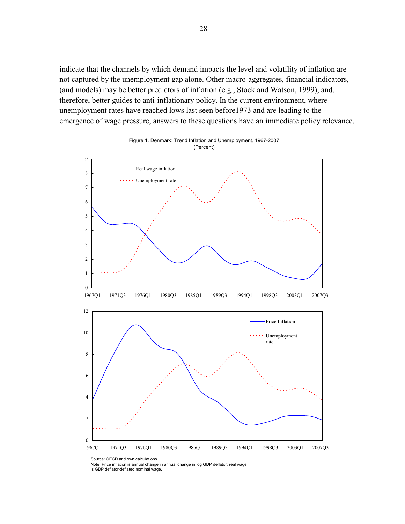indicate that the channels by which demand impacts the level and volatility of inflation are not captured by the unemployment gap alone. Other macro-aggregates, financial indicators, (and models) may be better predictors of inflation (e.g., Stock and Watson, 1999), and, therefore, better guides to anti-inflationary policy. In the current environment, where unemployment rates have reached lows last seen before1973 and are leading to the emergence of wage pressure, answers to these questions have an immediate policy relevance.





Note: Price inflation is annual change in annual change in log GDP deflator; real wage

is GDP deflator-deflated nominal wage.

Source: OECD and own calculations.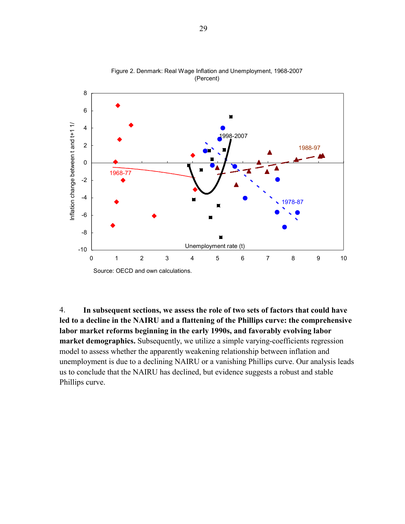

Figure 2. Denmark: Real Wage Inflation and Unemployment, 1968-2007 (Percent)

4. **In subsequent sections, we assess the role of two sets of factors that could have led to a decline in the NAIRU and a flattening of the Phillips curve: the comprehensive labor market reforms beginning in the early 1990s, and favorably evolving labor market demographics.** Subsequently, we utilize a simple varying-coefficients regression model to assess whether the apparently weakening relationship between inflation and unemployment is due to a declining NAIRU or a vanishing Phillips curve. Our analysis leads us to conclude that the NAIRU has declined, but evidence suggests a robust and stable Phillips curve.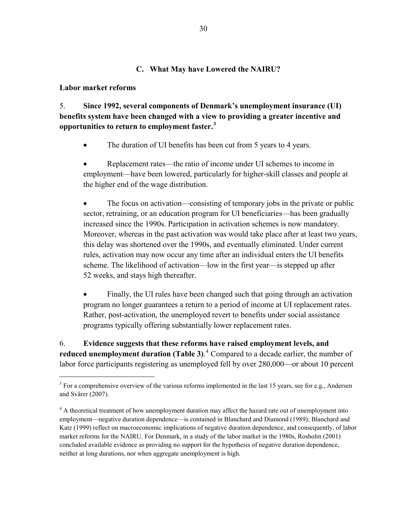### **C. What May have Lowered the NAIRU?**

#### **Labor market reforms**

1

5. **Since 1992, several components of Denmark's unemployment insurance (UI) benefits system have been changed with a view to providing a greater incentive and opportunities to return to employment faster.[3](#page-31-0)** 

• The duration of UI benefits has been cut from 5 years to 4 years.

• Replacement rates—the ratio of income under UI schemes to income in employment—have been lowered, particularly for higher-skill classes and people at the higher end of the wage distribution.

• The focus on activation—consisting of temporary jobs in the private or public sector, retraining, or an education program for UI beneficiaries—has been gradually increased since the 1990s. Participation in activation schemes is now mandatory. Moreover, whereas in the past activation was would take place after at least two years, this delay was shortened over the 1990s, and eventually eliminated. Under current rules, activation may now occur any time after an individual enters the UI benefits scheme. The likelihood of activation—low in the first year—is stepped up after 52 weeks, and stays high thereafter.

Finally, the UI rules have been changed such that going through an activation program no longer guarantees a return to a period of income at UI replacement rates. Rather, post-activation, the unemployed revert to benefits under social assistance programs typically offering substantially lower replacement rates.

6. **Evidence suggests that these reforms have raised employment levels, and reduced unemployment duration (Table 3)**. [4](#page-31-1) Compared to a decade earlier, the number of labor force participants registering as unemployed fell by over 280,000—or about 10 percent

<span id="page-31-0"></span> $3$  For a comprehensive overview of the various reforms implemented in the last 15 years, see for e.g., Andersen and Svårer (2007).

<span id="page-31-1"></span><sup>&</sup>lt;sup>4</sup> A theoretical treatment of how unemployment duration may affect the hazard rate out of unemployment into employment—negative duration dependence—is contained in Blanchard and Diamond (1989); Blanchard and Katz (1999) reflect on macroeconomic implications of negative duration dependence, and consequently, of labor market reforms for the NAIRU. For Denmark, in a study of the labor market in the 1980s, Rosholm (2001) concluded available evidence as providing no support for the hypothesis of negative duration dependence, neither at long durations, nor when aggregate unemployment is high.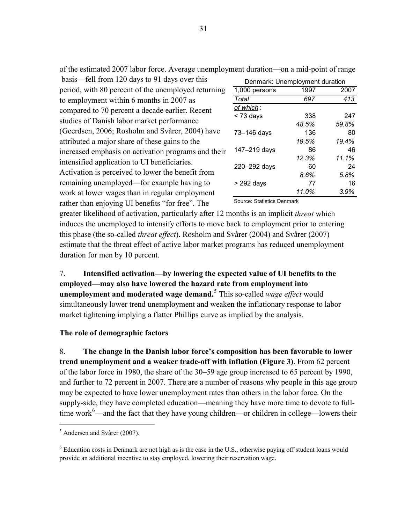basis—fell from 120 days to 91 days over this period, with 80 percent of the unemployed returning to employment within 6 months in 2007 as compared to 70 percent a decade earlier. Recent studies of Danish labor market performance (Geerdsen, 2006; Rosholm and Svårer, 2004) have attributed a major share of these gains to the increased emphasis on activation programs and their intensified application to UI beneficiaries. Activation is perceived to lower the benefit fro m remaining unemployed—for example having to work at lower wages than in regular employment rather than enjoying UI benefits "for free". The

| Denmark: Unemployment duration |       |       |  |  |  |  |
|--------------------------------|-------|-------|--|--|--|--|
| 1,000 persons                  | 1997  | 2007  |  |  |  |  |
| Total                          | 697   | 413   |  |  |  |  |
| of which:                      |       |       |  |  |  |  |
| $<$ 73 days                    | 338   | 247   |  |  |  |  |
|                                | 48.5% | 59.8% |  |  |  |  |
| 73-146 days                    | 136   | 80    |  |  |  |  |
|                                | 19.5% | 19.4% |  |  |  |  |
| 147-219 days                   | 86    | 46    |  |  |  |  |
|                                | 12.3% | 11.1% |  |  |  |  |
| 220-292 days                   | 60    | 24    |  |  |  |  |
|                                | 8.6%  | 5.8%  |  |  |  |  |
| $>$ 292 days                   | 77    | 16    |  |  |  |  |
|                                | 11.0% | 3.9%  |  |  |  |  |

Source: Statistics Denmark

greater likelihood of activation, particularly after 12 months is an implicit *threat* which induces the unemployed to intensify efforts to move back to employment prior to entering this phase (the so-called *threat effect*). Rosholm and Svårer (2004) and Svårer (2007) estimate that the threat effect of active labor market programs has reduced une mployment duration for men by 10 percent.

simultaneously lower trend unemployment and weaken the inflationary response to labor market tightening implying a flatter Phillips curve as implied by the analysis. 7. **Intensified activation—by lowering the expected value of UI benefits to the employed—may also have lowered the hazard rate from employment into unemployment and moderated wage demand.**[5](#page-32-0) This so-called *wage effect* would

#### **The role of demographic factors**

time work $6$ —and the fact that they have young children—or children in college—lowers their 8. **The change in the Danish labor force's composition has been favorable to lower trend unemployment and a weaker trade-off with inflation (Figure 3)**. From 62 percent of the labor force in 1980, the share of the 30–59 age group increased to 65 percent by 1990, and further to 72 percent in 2007. There are a number of reasons why people in this age group may be expected to have lower unemployment rates than others in the labor force. On the supply-side, they have completed education—meaning they have more time to devote to full-

 $\overline{a}$ 

of the estimated 2007 labor force. Average unemployment duration—on a mid-point of range

<span id="page-32-0"></span><sup>5</sup> Andersen and Svårer (2007).

 $6$  Education costs in Denmark are not high as is the case in the U.S., otherwise paying off student loans would provide an additional incentive to stay employed, lowering their reservation wage.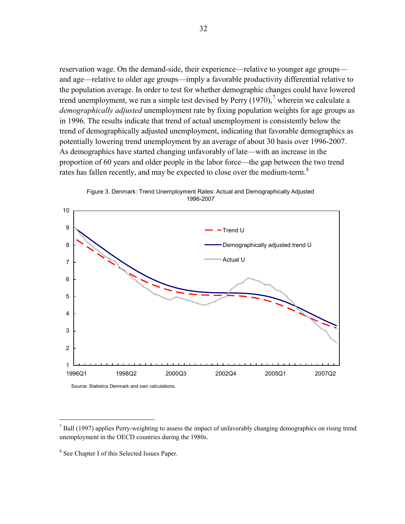reservation wage. On the demand-side, their experience—relative to younger age groups and age—relative to older age groups—imply a favorable productivity differential relative to the population average. In order to test for whether demographic changes could have lowered trend unemployment, we run a simple test devised by Perry  $(1970)$ , wherein we calculate a *demographically adjusted* unemployment rate by fixing population weights for age groups as in 1996. The results indicate that trend of actual unemployment is consistently below the trend of demographically adjusted unemployment, indicating that favorable demographics as potentially lowering trend unemployment by an average of about 30 basis over 1996-2007. As demographics have started changing unfavorably of late—with an increase in the proportion of 60 years and older people in the labor force—the gap between the two trend rates has fallen recently, and may be expected to close over the medium-term.<sup>8</sup>



Figure 3. Denmark: Trend Unemployment Rates: Actual and Demographically Adjusted 1996-2007

 $\overline{a}$ 

 $<sup>7</sup>$  Ball (1997) applies Perry-weighting to assess the impact of unfavorably changing demographics on rising trend</sup> unemployment in the OECD countries during the 1980s.

<sup>8</sup> See Chapter I of this Selected Issues Paper.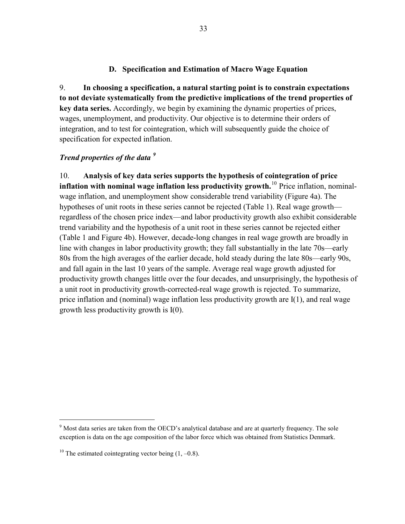### **D. Specification and Estimation of Macro Wage Equation**

9. **In choosing a specification, a natural starting point is to constrain expectations to not deviate systematically from the predictive implications of the trend properties of key data series.** Accordingly, we begin by examining the dynamic properties of prices, wages, unemployment, and productivity. Our objective is to determine their orders of integration, and to test for cointegration, which will subsequently guide the choice of specification for expected inflation.

### *Trend properties of the data [9](#page-34-0)*

10. **Analysis of key data series supports the hypothesis of cointegration of price inflation with nominal wage inflation less productivity growth.**[10](#page-34-1) Price inflation, nominalwage inflation, and unemployment show considerable trend variability (Figure 4a). The hypotheses of unit roots in these series cannot be rejected (Table 1). Real wage growth regardless of the chosen price index—and labor productivity growth also exhibit considerable trend variability and the hypothesis of a unit root in these series cannot be rejected either (Table 1 and Figure 4b). However, decade-long changes in real wage growth are broadly in line with changes in labor productivity growth; they fall substantially in the late 70s—early 80s from the high averages of the earlier decade, hold steady during the late 80s—early 90s, and fall again in the last 10 years of the sample. Average real wage growth adjusted for productivity growth changes little over the four decades, and unsurprisingly, the hypothesis of a unit root in productivity growth-corrected-real wage growth is rejected. To summarize, price inflation and (nominal) wage inflation less productivity growth are I(1), and real wage growth less productivity growth is I(0).

 $\overline{a}$ 

<span id="page-34-0"></span> $9$  Most data series are taken from the OECD's analytical database and are at quarterly frequency. The sole exception is data on the age composition of the labor force which was obtained from Statistics Denmark.

<span id="page-34-1"></span><sup>&</sup>lt;sup>10</sup> The estimated cointegrating vector being  $(1, -0.8)$ .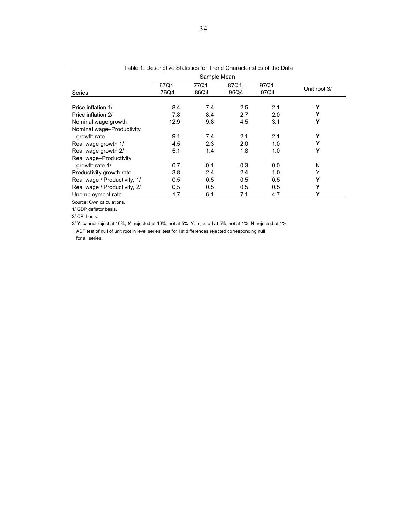|                              |               | Sample Mean   |               |               |              |
|------------------------------|---------------|---------------|---------------|---------------|--------------|
| <b>Series</b>                | 67Q1-<br>76Q4 | 77Q1-<br>86Q4 | 87Q1-<br>96Q4 | 97Q1-<br>07Q4 | Unit root 3/ |
|                              |               |               |               |               |              |
| Price inflation 1/           | 8.4           | 7.4           | 2.5           | 2.1           | Υ            |
| Price inflation 2/           | 7.8           | 8.4           | 2.7           | 2.0           | Υ            |
| Nominal wage growth          | 12.9          | 9.8           | 4.5           | 3.1           | Υ            |
| Nominal wage-Productivity    |               |               |               |               |              |
| growth rate                  | 9.1           | 7.4           | 2.1           | 2.1           | Υ            |
| Real wage growth 1/          | 4.5           | 2.3           | 2.0           | 1.0           | Υ            |
| Real wage growth 2/          | 5.1           | 1.4           | 1.8           | 1.0           | Υ            |
| Real wage-Productivity       |               |               |               |               |              |
| growth rate 1/               | 0.7           | $-0.1$        | $-0.3$        | 0.0           | N            |
| Productivity growth rate     | 3.8           | 2.4           | 2.4           | 1.0           | Υ            |
| Real wage / Productivity, 1/ | 0.5           | 0.5           | 0.5           | 0.5           | Υ            |
| Real wage / Productivity, 2/ | 0.5           | 0.5           | 0.5           | 0.5           | Υ            |
| Unemployment rate            | 1.7           | 6.1           | 7.1           | 4.7           | Υ            |

Table 1. Descriptive Statistics for Trend Characteristics of the Data

Source: Own calculations.

1/ GDP deflator basis.

2/ CPI basis.

3/ **Y**: cannot reject at 10%; *Y* : rejected at 10%, not at 5%; Y: rejected at 5%, not at 1%; N: rejected at 1% ADF test of null of unit root in level series; test for 1st differences rejected corresponding null for all series.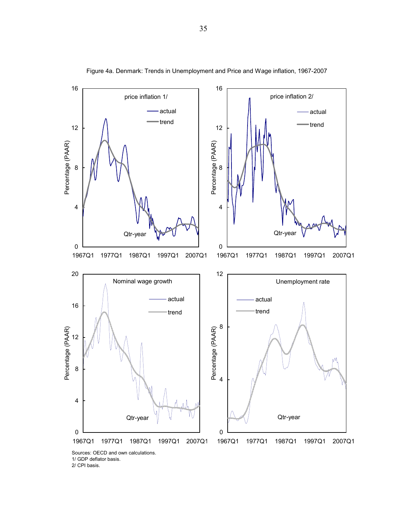

Figure 4a. Denmark: Trends in Unemployment and Price and Wage inflation, 1967-2007

1/ GDP deflator basis. 2/ CPI basis.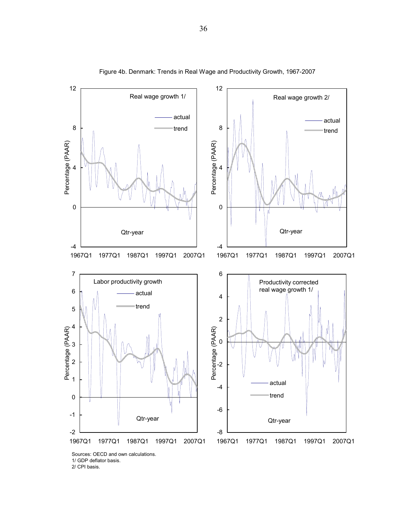

Figure 4b. Denmark: Trends in Real Wage and Productivity Growth, 1967-2007

1/ GDP deflator basis. 2/ CPI basis.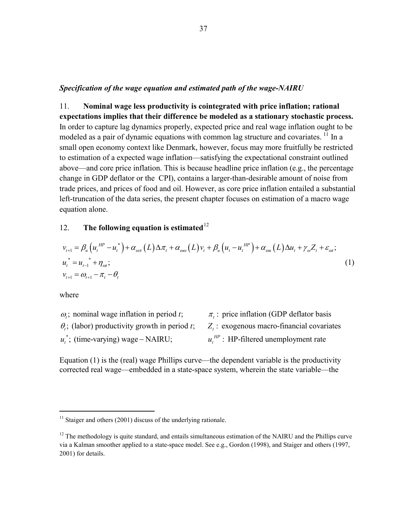#### *Specification of the wage equation and estimated path of the wage-NAIRU*

11. **Nominal wage less productivity is cointegrated with price inflation; rational expectations implies that their difference be modeled as a stationary stochastic process.** In order to capture lag dynamics properly, expected price and real wage inflation ought to be modeled as a pair of dynamic equations with common lag structure and covariates.<sup>[11](#page-38-0)</sup> In a small open economy context like Denmark, however, focus may more fruitfully be restricted to estimation of a expected wage inflation—satisfying the expectational constraint outlined above—and core price inflation. This is because headline price inflation (e.g., the percentage change in GDP deflator or the CPI), contains a larger-than-desirable amount of noise from trade prices, and prices of food and oil. However, as core price inflation entailed a substantial left-truncation of the data series, the present chapter focuses on estimation of a macro wage equation alone.

### [12](#page-38-1). **The following equation is estimated**<sup>12</sup>

$$
v_{t+1} = \beta_u \left( u_t^{HP} - u_t^* \right) + \alpha_{\omega \pi} \left( L \right) \Delta \pi_t + \alpha_{\omega \omega} \left( L \right) v_t + \beta_u \left( u_t - u_t^{HP} \right) + \alpha_{\omega u} \left( L \right) \Delta u_t + \gamma_{\omega} Z_t + \varepsilon_{\omega t};
$$
\n
$$
u_t^* = u_{t-1}^* + \eta_{\omega t};
$$
\n
$$
v_{t+1} = \omega_{t+1} - \pi_t - \theta_t
$$
\n(1)

where

1

| $\omega$ ; nominal wage inflation in period t;        | $\pi$ .: price inflation (GDP deflator basis     |
|-------------------------------------------------------|--------------------------------------------------|
| $\theta_i$ ; (labor) productivity growth in period t; | $Z_t$ : exogenous macro-financial covariates     |
| $u^*$ ; (time-varying) wage – NAIRU;                  | $u_{\cdot}^{HP}$ : HP-filtered unemployment rate |

Equation (1) is the (real) wage Phillips curve—the dependent variable is the productivity corrected real wage—embedded in a state-space system, wherein the state variable—the

<span id="page-38-0"></span> $11$  Staiger and others (2001) discuss of the underlying rationale.

<span id="page-38-1"></span> $12$  The methodology is quite standard, and entails simultaneous estimation of the NAIRU and the Phillips curve via a Kalman smoother applied to a state-space model. See e.g., Gordon (1998), and Staiger and others (1997, 2001) for details.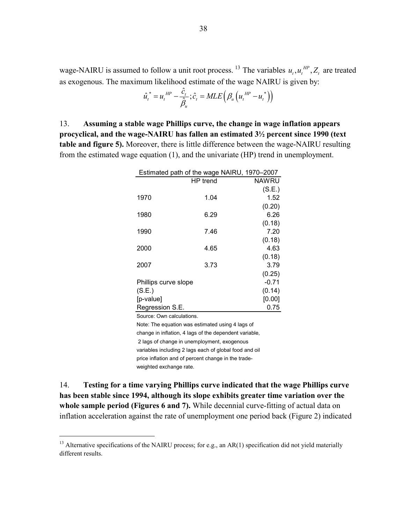wage-NAIRU is assumed to follow a unit root process. <sup>[13](#page-39-0)</sup> The variables  $u_t, u_t^{HP}, Z_t$  are treated as exogenous. The maximum likelihood estimate of the wage NAIRU is given by:

$$
\hat{u}_{t}^* = u_t^{\text{ HP}} - \frac{\hat{c}_t}{\hat{\beta}_u}; \hat{c}_t = MLE\left(\beta_u \left(u_t^{\text{HP}} - u_t^*\right)\right)
$$

13. **Assuming a stable wage Phillips curve, the change in wage inflation appears procyclical, and the wage-NAIRU has fallen an estimated 3½ percent since 1990 (text table and figure 5).** Moreover, there is little difference between the wage-NAIRU resulting from the estimated wage equation (1), and the univariate (HP) trend in unemployment.

|                      | Estimated path of the wage NAIRU, 1970–2007 |         |
|----------------------|---------------------------------------------|---------|
|                      | HP trend                                    | NAWRU   |
|                      |                                             | (S.E.)  |
| 1970                 | 1.04                                        | 1.52    |
|                      |                                             | (0.20)  |
| 1980                 | 6.29                                        | 6.26    |
|                      |                                             | (0.18)  |
| 1990                 | 7.46                                        | 7.20    |
|                      |                                             | (0.18)  |
| 2000                 | 4.65                                        | 4.63    |
|                      |                                             | (0.18)  |
| 2007                 | 3.73                                        | 3.79    |
|                      |                                             | (0.25)  |
| Phillips curve slope |                                             | $-0.71$ |
| (S.E.)               |                                             | (0.14)  |
| [p-value]            |                                             | [0.00]  |
| Regression S.E.      |                                             | 0.75    |

Source: Own calculations.

 $\overline{a}$ 

Note: The equation was estimated using 4 lags of change in inflation, 4 lags of the dependent variable, 2 lags of change in unemployment, exogenous variables including 2 lags each of global food and oil price inflation and of percent change in the tradeweighted exchange rate.

14. **Testing for a time varying Phillips curve indicated that the wage Phillips curve has been stable since 1994, although its slope exhibits greater time variation over the whole sample period (Figures 6 and 7).** While decennial curve-fitting of actual data on inflation acceleration against the rate of unemployment one period back (Figure 2) indicated

<span id="page-39-0"></span><sup>&</sup>lt;sup>13</sup> Alternative specifications of the NAIRU process; for e.g., an AR(1) specification did not yield materially different results.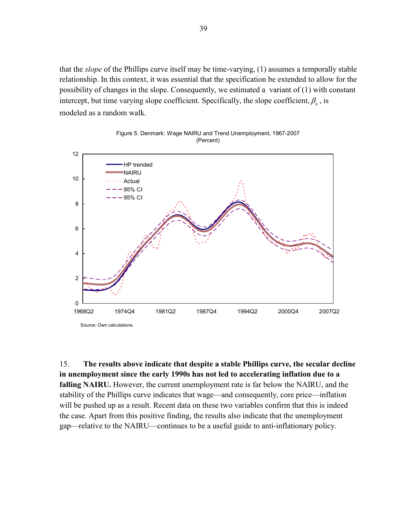that the *slope* of the Phillips curve itself may be time-varying, (1) assumes a temporally stable relationship. In this context, it was essential that the specification be extended to allow for the possibility of changes in the slope. Consequently, we estimated a variant of (1) with constant intercept, but time varying slope coefficient. Specifically, the slope coefficient,  $\beta_{\mu}$ , is modeled as a random walk.





15. **The results above indicate that despite a stable Phillips curve, the secular decline in unemployment since the early 1990s has not led to accelerating inflation due to a falling NAIRU.** However, the current unemployment rate is far below the NAIRU, and the stability of the Phillips curve indicates that wage—and consequently, core price—inflation will be pushed up as a result. Recent data on these two variables confirm that this is indeed the case. Apart from this positive finding, the results also indicate that the unemployment gap—relative to the NAIRU—continues to be a useful guide to anti-inflationary policy.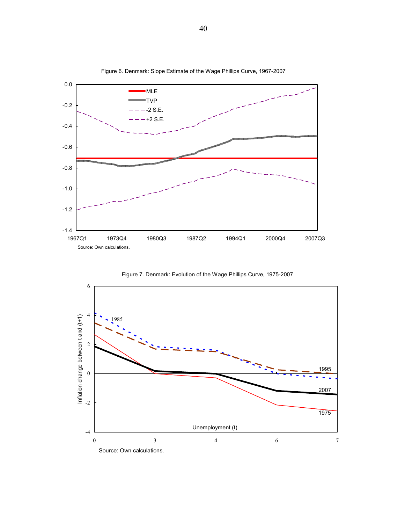

Figure 6. Denmark: Slope Estimate of the Wage Phillips Curve, 1967-2007



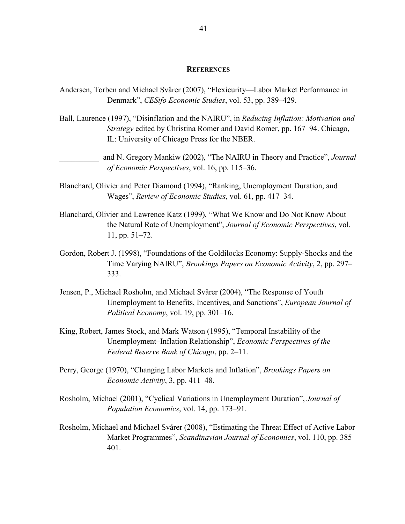#### **REFERENCES**

- Andersen, Torben and Michael Svårer (2007), "Flexicurity—Labor Market Performance in Denmark", *CESifo Economic Studies*, vol. 53, pp. 389–429.
- Ball, Laurence (1997), "Disinflation and the NAIRU", in *Reducing Inflation: Motivation and Strategy* edited by Christina Romer and David Romer, pp. 167–94. Chicago, IL: University of Chicago Press for the NBER.

\_\_\_\_\_\_\_\_\_\_ and N. Gregory Mankiw (2002), "The NAIRU in Theory and Practice", *Journal of Economic Perspectives*, vol. 16, pp. 115–36.

- Blanchard, Olivier and Peter Diamond (1994), "Ranking, Unemployment Duration, and Wages", *Review of Economic Studies*, vol. 61, pp. 417–34.
- Blanchard, Olivier and Lawrence Katz (1999), "What We Know and Do Not Know About the Natural Rate of Unemployment", *Journal of Economic Perspectives*, vol. 11, pp. 51–72.
- Gordon, Robert J. (1998), "Foundations of the Goldilocks Economy: Supply-Shocks and the Time Varying NAIRU", *Brookings Papers on Economic Activity*, 2, pp. 297– 333.
- Jensen, P., Michael Rosholm, and Michael Svårer (2004), "The Response of Youth Unemployment to Benefits, Incentives, and Sanctions", *European Journal of Political Economy*, vol. 19, pp. 301–16.
- King, Robert, James Stock, and Mark Watson (1995), "Temporal Instability of the Unemployment–Inflation Relationship", *Economic Perspectives of the Federal Reserve Bank of Chicago*, pp. 2–11.
- Perry, George (1970), "Changing Labor Markets and Inflation", *Brookings Papers on Economic Activity*, 3, pp. 411–48.
- Rosholm, Michael (2001), "Cyclical Variations in Unemployment Duration", *Journal of Population Economics*, vol. 14, pp. 173–91.
- Rosholm, Michael and Michael Svårer (2008), "Estimating the Threat Effect of Active Labor Market Programmes", *Scandinavian Journal of Economics*, vol. 110, pp. 385– 401.